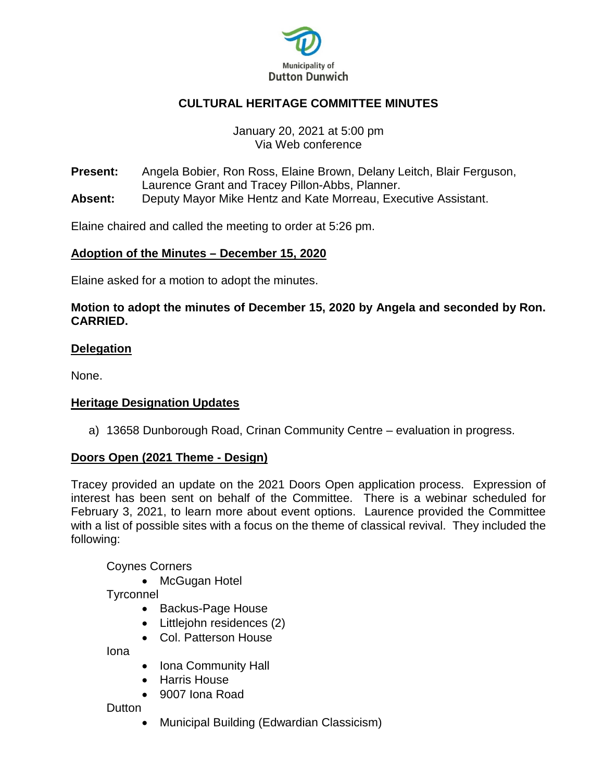

### **CULTURAL HERITAGE COMMITTEE MINUTES**

#### January 20, 2021 at 5:00 pm Via Web conference

**Present:** Angela Bobier, Ron Ross, Elaine Brown, Delany Leitch, Blair Ferguson, Laurence Grant and Tracey Pillon-Abbs, Planner. **Absent:** Deputy Mayor Mike Hentz and Kate Morreau, Executive Assistant.

Elaine chaired and called the meeting to order at 5:26 pm.

#### **Adoption of the Minutes – December 15, 2020**

Elaine asked for a motion to adopt the minutes.

#### **Motion to adopt the minutes of December 15, 2020 by Angela and seconded by Ron. CARRIED.**

#### **Delegation**

None.

#### **Heritage Designation Updates**

a) 13658 Dunborough Road, Crinan Community Centre – evaluation in progress.

#### **Doors Open (2021 Theme - Design)**

Tracey provided an update on the 2021 Doors Open application process. Expression of interest has been sent on behalf of the Committee. There is a webinar scheduled for February 3, 2021, to learn more about event options. Laurence provided the Committee with a list of possible sites with a focus on the theme of classical revival. They included the following:

Coynes Corners

• McGugan Hotel

**Tyrconnel** 

- Backus-Page House
- Littlejohn residences (2)
- Col. Patterson House

Iona

- Iona Community Hall
- Harris House
- 9007 Iona Road

Dutton

• Municipal Building (Edwardian Classicism)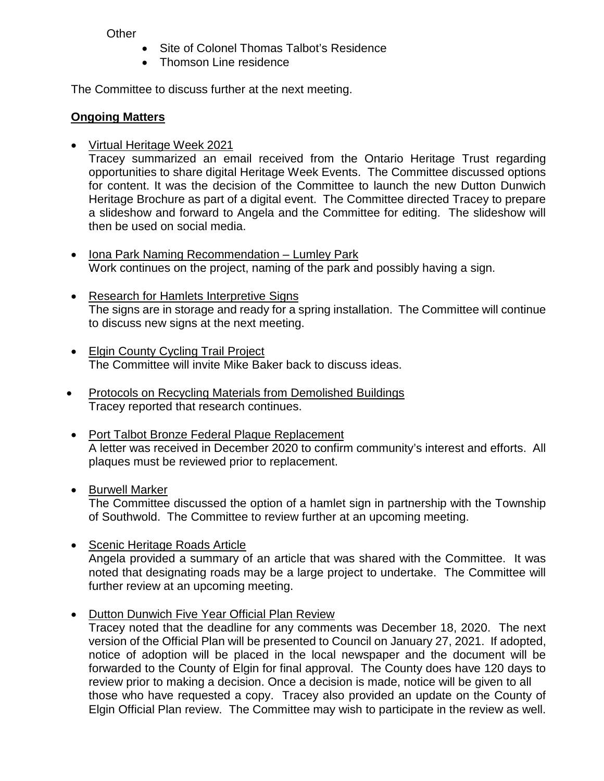**Other** 

- Site of Colonel Thomas Talbot's Residence
- Thomson Line residence

The Committee to discuss further at the next meeting.

# **Ongoing Matters**

• Virtual Heritage Week 2021

Tracey summarized an email received from the Ontario Heritage Trust regarding opportunities to share digital Heritage Week Events. The Committee discussed options for content. It was the decision of the Committee to launch the new Dutton Dunwich Heritage Brochure as part of a digital event. The Committee directed Tracey to prepare a slideshow and forward to Angela and the Committee for editing. The slideshow will then be used on social media.

- Iona Park Naming Recommendation Lumley Park Work continues on the project, naming of the park and possibly having a sign.
- Research for Hamlets Interpretive Signs The signs are in storage and ready for a spring installation. The Committee will continue to discuss new signs at the next meeting.
- Elgin County Cycling Trail Project The Committee will invite Mike Baker back to discuss ideas.
- Protocols on Recycling Materials from Demolished Buildings Tracey reported that research continues.
- Port Talbot Bronze Federal Plaque Replacement A letter was received in December 2020 to confirm community's interest and efforts. All plaques must be reviewed prior to replacement.

# • Burwell Marker

The Committee discussed the option of a hamlet sign in partnership with the Township of Southwold. The Committee to review further at an upcoming meeting.

- Scenic Heritage Roads Article Angela provided a summary of an article that was shared with the Committee. It was noted that designating roads may be a large project to undertake. The Committee will further review at an upcoming meeting.
- Dutton Dunwich Five Year Official Plan Review Tracey noted that the deadline for any comments was December 18, 2020. The next version of the Official Plan will be presented to Council on January 27, 2021. If adopted, notice of adoption will be placed in the local newspaper and the document will be forwarded to the County of Elgin for final approval. The County does have 120 days to review prior to making a decision. Once a decision is made, notice will be given to all those who have requested a copy. Tracey also provided an update on the County of Elgin Official Plan review. The Committee may wish to participate in the review as well.